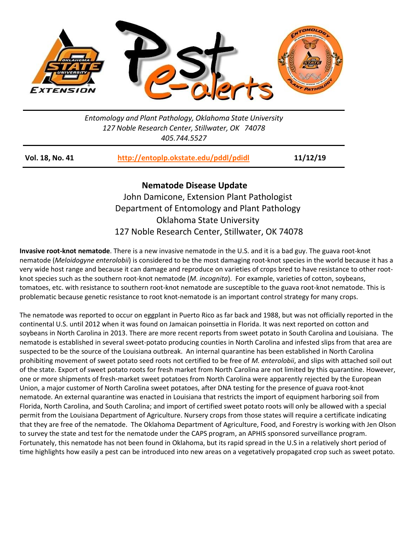

## *Entomology and Plant Pathology, Oklahoma State University 127 Noble Research Center, Stillwater, OK 74078 405.744.5527*

| 11/12/19<br>http://entoplp.okstate.edu/pddl/pdidl<br>Vol. 18, No. 41 |
|----------------------------------------------------------------------|
|----------------------------------------------------------------------|

## **Nematode Disease Update**

John Damicone, Extension Plant Pathologist Department of Entomology and Plant Pathology Oklahoma State University 127 Noble Research Center, Stillwater, OK 74078

**Invasive root-knot nematode**. There is a new invasive nematode in the U.S. and it is a bad guy. The guava root-knot nematode (*Meloidogyne enterolobii*) is considered to be the most damaging root-knot species in the world because it has a very wide host range and because it can damage and reproduce on varieties of crops bred to have resistance to other rootknot species such as the southern root-knot nematode (*M. incognita*). For example, varieties of cotton, soybeans, tomatoes, etc. with resistance to southern root-knot nematode are susceptible to the guava root-knot nematode. This is problematic because genetic resistance to root knot-nematode is an important control strategy for many crops.

The nematode was reported to occur on eggplant in Puerto Rico as far back and 1988, but was not officially reported in the continental U.S. until 2012 when it was found on Jamaican poinsettia in Florida. It was next reported on cotton and soybeans in North Carolina in 2013. There are more recent reports from sweet potato in South Carolina and Louisiana. The nematode is established in several sweet-potato producing counties in North Carolina and infested slips from that area are suspected to be the source of the Louisiana outbreak. An internal quarantine has been established in North Carolina prohibiting movement of sweet potato seed roots not certified to be free of *M. enterolobii*, and slips with attached soil out of the state. Export of sweet potato roots for fresh market from North Carolina are not limited by this quarantine. However, one or more shipments of fresh-market sweet potatoes from North Carolina were apparently rejected by the European Union, a major customer of North Carolina sweet potatoes, after DNA testing for the presence of guava root-knot nematode. An external quarantine was enacted in Louisiana that restricts the import of equipment harboring soil from Florida, North Carolina, and South Carolina; and import of certified sweet potato roots will only be allowed with a special permit from the Louisiana Department of Agriculture. Nursery crops from those states will require a certificate indicating that they are free of the nematode. The Oklahoma Department of Agriculture, Food, and Forestry is working with Jen Olson to survey the state and test for the nematode under the CAPS program, an APHIS sponsored surveillance program. Fortunately, this nematode has not been found in Oklahoma, but its rapid spread in the U.S in a relatively short period of time highlights how easily a pest can be introduced into new areas on a vegetatively propagated crop such as sweet potato.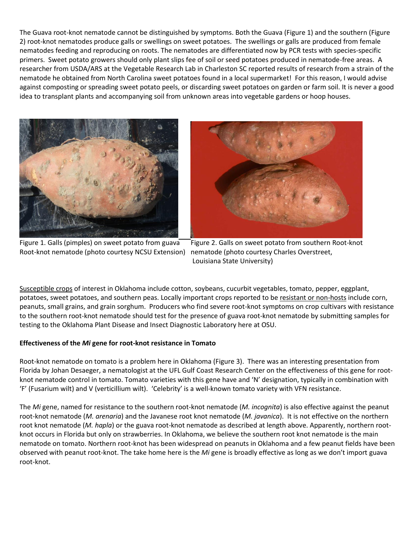The Guava root-knot nematode cannot be distinguished by symptoms. Both the Guava (Figure 1) and the southern (Figure 2) root-knot nematodes produce galls or swellings on sweet potatoes. The swellings or galls are produced from female nematodes feeding and reproducing on roots. The nematodes are differentiated now by PCR tests with species-specific primers. Sweet potato growers should only plant slips fee of soil or seed potatoes produced in nematode-free areas. A researcher from USDA/ARS at the Vegetable Research Lab in Charleston SC reported results of research from a strain of the nematode he obtained from North Carolina sweet potatoes found in a local supermarket! For this reason, I would advise against composting or spreading sweet potato peels, or discarding sweet potatoes on garden or farm soil. It is never a good idea to transplant plants and accompanying soil from unknown areas into vegetable gardens or hoop houses.







Figure 1. Galls (pimples) on sweet potato from guava Figure 2. Galls on sweet potato from southern Root-knot Louisiana State University)

Susceptible crops of interest in Oklahoma include cotton, soybeans, cucurbit vegetables, tomato, pepper, eggplant, potatoes, sweet potatoes, and southern peas. Locally important crops reported to be resistant or non-hosts include corn, peanuts, small grains, and grain sorghum. Producers who find severe root-knot symptoms on crop cultivars with resistance to the southern root-knot nematode should test for the presence of guava root-knot nematode by submitting samples for testing to the Oklahoma Plant Disease and Insect Diagnostic Laboratory here at OSU.

## **Effectiveness of the** *Mi* **gene for root-knot resistance in Tomato**

Root-knot nematode on tomato is a problem here in Oklahoma (Figure 3). There was an interesting presentation from Florida by Johan Desaeger, a nematologist at the UFL Gulf Coast Research Center on the effectiveness of this gene for rootknot nematode control in tomato. Tomato varieties with this gene have and 'N' designation, typically in combination with 'F' (Fusarium wilt) and V (verticillium wilt). 'Celebrity' is a well-known tomato variety with VFN resistance.

The *Mi* gene, named for resistance to the southern root-knot nematode (*M. incognita*) is also effective against the peanut root-knot nematode (*M. arenaria*) and the Javanese root knot nematode (*M. javanica*). It is not effective on the northern root knot nematode (*M. hapla*) or the guava root-knot nematode as described at length above. Apparently, northern rootknot occurs in Florida but only on strawberries. In Oklahoma, we believe the southern root knot nematode is the main nematode on tomato. Northern root-knot has been widespread on peanuts in Oklahoma and a few peanut fields have been observed with peanut root-knot. The take home here is the *Mi* gene is broadly effective as long as we don't import guava root-knot.